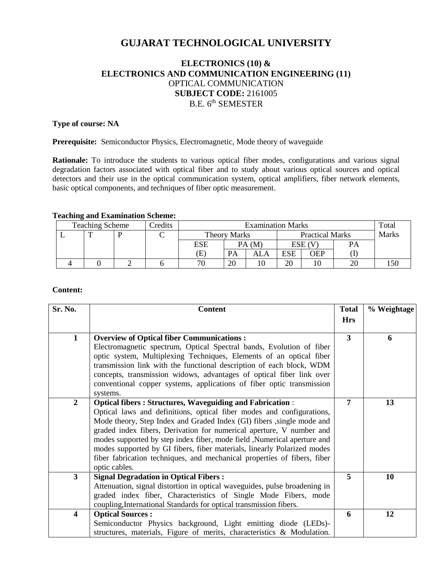# **GUJARAT TECHNOLOGICAL UNIVERSITY**

# **ELECTRONICS (10) & ELECTRONICS AND COMMUNICATION ENGINEERING (11)** OPTICAL COMMUNICATION **SUBJECT CODE:** 2161005 B.E. 6<sup>th</sup> SEMESTER

### **Type of course: NA**

**Prerequisite:** Semiconductor Physics, Electromagnetic, Mode theory of waveguide

**Rationale:** To introduce the students to various optical fiber modes, configurations and various signal degradation factors associated with optical fiber and to study about various optical sources and optical detectors and their use in the optical communication system, optical amplifiers, fiber network elements, basic optical components, and techniques of fiber optic measurement.

#### **Teaching and Examination Scheme:**

| <b>Teaching Scheme</b> |  |  | Tredits | <b>Examination Marks</b> |       |                        |        |     | Total        |     |
|------------------------|--|--|---------|--------------------------|-------|------------------------|--------|-----|--------------|-----|
|                        |  |  |         | <b>Theory Marks</b>      |       | <b>Practical Marks</b> |        |     | <b>Marks</b> |     |
|                        |  |  |         | <b>ESE</b>               | PA(M) |                        | ESE (V |     | PA           |     |
|                        |  |  |         | Œ.                       | PA    | ALA                    | ESE    | OEP |              |     |
|                        |  |  |         | 70                       | 20    |                        | 20     |     | 20           | .50 |

#### **Content:**

| Sr. No.                 | <b>Content</b>                                                                                                                                                                                                                                                                                                                                                                                                                                                                                                                                 | <b>Total</b> | % Weightage |
|-------------------------|------------------------------------------------------------------------------------------------------------------------------------------------------------------------------------------------------------------------------------------------------------------------------------------------------------------------------------------------------------------------------------------------------------------------------------------------------------------------------------------------------------------------------------------------|--------------|-------------|
|                         |                                                                                                                                                                                                                                                                                                                                                                                                                                                                                                                                                | <b>Hrs</b>   |             |
| $\mathbf{1}$            | <b>Overview of Optical fiber Communications:</b><br>Electromagnetic spectrum, Optical Spectral bands, Evolution of fiber<br>optic system, Multiplexing Techniques, Elements of an optical fiber<br>transmission link with the functional description of each block, WDM<br>concepts, transmission widows, advantages of optical fiber link over<br>conventional copper systems, applications of fiber optic transmission<br>systems.                                                                                                           | 3            | 6           |
| $\overline{2}$          | <b>Optical fibers: Structures, Waveguiding and Fabrication:</b><br>Optical laws and definitions, optical fiber modes and configurations,<br>Mode theory, Step Index and Graded Index (GI) fibers , single mode and<br>graded index fibers, Derivation for numerical aperture, V number and<br>modes supported by step index fiber, mode field , Numerical aperture and<br>modes supported by GI fibers, fiber materials, linearly Polarized modes<br>fiber fabrication techniques, and mechanical properties of fibers, fiber<br>optic cables. | 7            | 13          |
| $\mathbf{3}$            | <b>Signal Degradation in Optical Fibers:</b><br>Attenuation, signal distortion in optical waveguides, pulse broadening in<br>graded index fiber, Characteristics of Single Mode Fibers, mode<br>coupling, International Standards for optical transmission fibers.                                                                                                                                                                                                                                                                             | 5            | 10          |
| $\overline{\mathbf{4}}$ | <b>Optical Sources:</b><br>Semiconductor Physics background, Light emitting diode (LEDs)-<br>structures, materials, Figure of merits, characteristics & Modulation.                                                                                                                                                                                                                                                                                                                                                                            | 6            | 12          |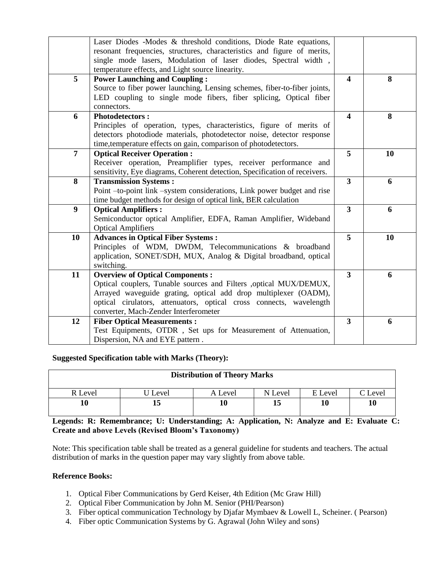|                  | Laser Diodes -Modes & threshold conditions, Diode Rate equations,<br>resonant frequencies, structures, characteristics and figure of merits,<br>single mode lasers, Modulation of laser diodes, Spectral width,<br>temperature effects, and Light source linearity.                            |                         |    |
|------------------|------------------------------------------------------------------------------------------------------------------------------------------------------------------------------------------------------------------------------------------------------------------------------------------------|-------------------------|----|
| 5                | <b>Power Launching and Coupling:</b><br>Source to fiber power launching, Lensing schemes, fiber-to-fiber joints,<br>LED coupling to single mode fibers, fiber splicing, Optical fiber<br>connectors.                                                                                           | $\overline{\mathbf{4}}$ | 8  |
| 6                | <b>Photodetectors:</b><br>Principles of operation, types, characteristics, figure of merits of<br>detectors photodiode materials, photodetector noise, detector response<br>time, temperature effects on gain, comparison of photodetectors.                                                   | 4                       | 8  |
| $\overline{7}$   | <b>Optical Receiver Operation:</b><br>Receiver operation, Preamplifier types, receiver performance and<br>sensitivity, Eye diagrams, Coherent detection, Specification of receivers.                                                                                                           | 5                       | 10 |
| 8                | <b>Transmission Systems:</b><br>Point -to-point link -system considerations, Link power budget and rise<br>time budget methods for design of optical link, BER calculation                                                                                                                     | $\overline{3}$          | 6  |
| $\boldsymbol{9}$ | <b>Optical Amplifiers:</b><br>Semiconductor optical Amplifier, EDFA, Raman Amplifier, Wideband<br><b>Optical Amplifiers</b>                                                                                                                                                                    | $\overline{3}$          | 6  |
| 10               | <b>Advances in Optical Fiber Systems:</b><br>Principles of WDM, DWDM, Telecommunications & broadband<br>application, SONET/SDH, MUX, Analog & Digital broadband, optical<br>switching.                                                                                                         | $\overline{5}$          | 10 |
| 11               | <b>Overview of Optical Components:</b><br>Optical couplers, Tunable sources and Filters ,optical MUX/DEMUX,<br>Arrayed waveguide grating, optical add drop multiplexer (OADM),<br>optical cirulators, attenuators, optical cross connects, wavelength<br>converter, Mach-Zender Interferometer | $\overline{3}$          | 6  |
| 12               | <b>Fiber Optical Measurements:</b><br>Test Equipments, OTDR, Set ups for Measurement of Attenuation,<br>Dispersion, NA and EYE pattern.                                                                                                                                                        | $\overline{3}$          | 6  |

#### **Suggested Specification table with Marks (Theory):**

| <b>Distribution of Theory Marks</b> |       |         |         |         |                     |  |  |
|-------------------------------------|-------|---------|---------|---------|---------------------|--|--|
| R Level                             | Level | A Level | N Level | E Level | $\mathcal{C}$ Level |  |  |
|                                     |       | 10      |         | 10      | 10                  |  |  |

**Legends: R: Remembrance; U: Understanding; A: Application, N: Analyze and E: Evaluate C: Create and above Levels (Revised Bloom's Taxonomy)**

Note: This specification table shall be treated as a general guideline for students and teachers. The actual distribution of marks in the question paper may vary slightly from above table.

#### **Reference Books:**

- 1. Optical Fiber Communications by Gerd Keiser, 4th Edition (Mc Graw Hill)
- 2. Optical Fiber Communication by John M. Senior (PHI/Pearson)
- 3. Fiber optical communication Technology by Djafar Mymbaev & Lowell L, Scheiner. ( Pearson)
- 4. Fiber optic Communication Systems by G. Agrawal (John Wiley and sons)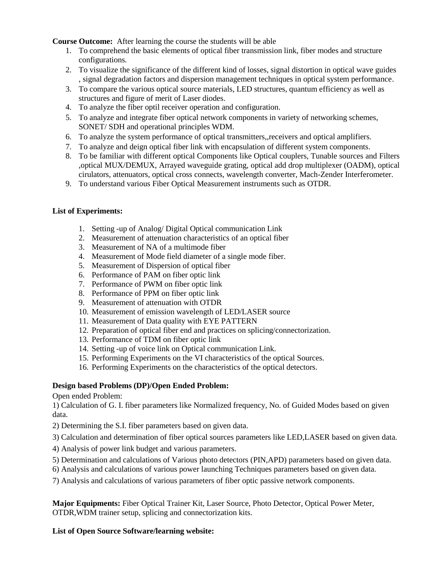**Course Outcome:** After learning the course the students will be able

- 1. To comprehend the basic elements of optical fiber transmission link, fiber modes and structure configurations.
- 2. To visualize the significance of the different kind of losses, signal distortion in optical wave guides , signal degradation factors and dispersion management techniques in optical system performance.
- 3. To compare the various optical source materials, LED structures, quantum efficiency as well as structures and figure of merit of Laser diodes.
- 4. To analyze the fiber optil receiver operation and configuration.
- 5. To analyze and integrate fiber optical network components in variety of networking schemes, SONET/ SDH and operational principles WDM.
- 6. To analyze the system performance of optical transmitters,,receivers and optical amplifiers.
- 7. To analyze and deign optical fiber link with encapsulation of different system components.
- 8. To be familiar with different optical Components like Optical couplers, Tunable sources and Filters ,optical MUX/DEMUX, Arrayed waveguide grating, optical add drop multiplexer (OADM), optical cirulators, attenuators, optical cross connects, wavelength converter, Mach-Zender Interferometer.
- 9. To understand various Fiber Optical Measurement instruments such as OTDR.

### **List of Experiments:**

- 1. Setting -up of Analog/ Digital Optical communication Link
- 2. Measurement of attenuation characteristics of an optical fiber
- 3. Measurement of NA of a multimode fiber
- 4. Measurement of Mode field diameter of a single mode fiber.
- 5. Measurement of Dispersion of optical fiber
- 6. Performance of PAM on fiber optic link
- 7. Performance of PWM on fiber optic link
- 8. Performance of PPM on fiber optic link
- 9. Measurement of attenuation with OTDR
- 10. Measurement of emission wavelength of LED/LASER source
- 11. Measurement of Data quality with EYE PATTERN
- 12. Preparation of optical fiber end and practices on splicing/connectorization.
- 13. Performance of TDM on fiber optic link
- 14. Setting -up of voice link on Optical communication Link.
- 15. Performing Experiments on the VI characteristics of the optical Sources.
- 16. Performing Experiments on the characteristics of the optical detectors.

## **Design based Problems (DP)/Open Ended Problem:**

Open ended Problem:

1) Calculation of G. I. fiber parameters like Normalized frequency, No. of Guided Modes based on given data.

- 2) Determining the S.I. fiber parameters based on given data.
- 3) Calculation and determination of fiber optical sources parameters like LED,LASER based on given data.
- 4) Analysis of power link budget and various parameters.
- 5) Determination and calculations of Various photo detectors (PIN,APD) parameters based on given data.
- 6) Analysis and calculations of various power launching Techniques parameters based on given data.
- 7) Analysis and calculations of various parameters of fiber optic passive network components.

**Major Equipments:** Fiber Optical Trainer Kit, Laser Source, Photo Detector, Optical Power Meter, OTDR,WDM trainer setup, splicing and connectorization kits.

#### **List of Open Source Software/learning website:**